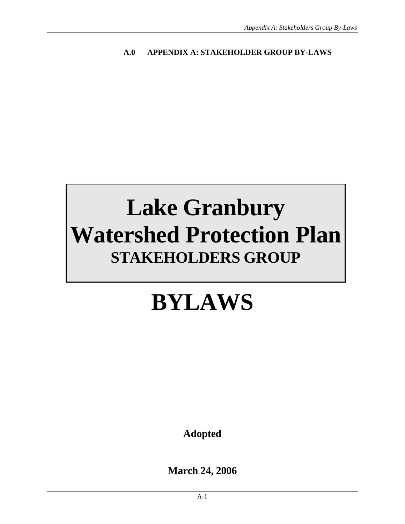#### **A.0 APPENDIX A: STAKEHOLDER GROUP BY-LAWS**

# **Lake Granbury Watershed Protection Plan STAKEHOLDERS GROUP**

# **BYLAWS**

**Adopted** 

**March 24, 2006**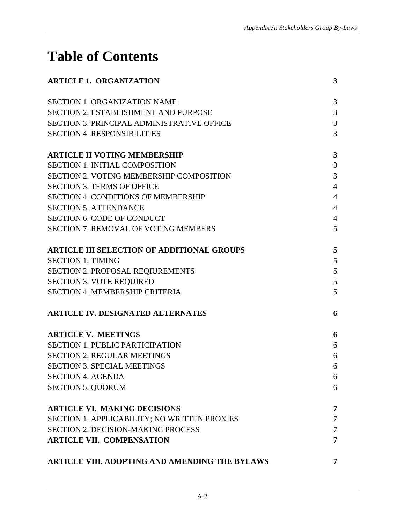# **Table of Contents**

| <b>ARTICLE 1. ORGANIZATION</b>                    | 3              |
|---------------------------------------------------|----------------|
| <b>SECTION 1. ORGANIZATION NAME</b>               | 3              |
| <b>SECTION 2. ESTABLISHMENT AND PURPOSE</b>       | 3              |
| <b>SECTION 3. PRINCIPAL ADMINISTRATIVE OFFICE</b> | $\mathfrak{Z}$ |
| <b>SECTION 4. RESPONSIBILITIES</b>                | 3              |
| <b>ARTICLE II VOTING MEMBERSHIP</b>               | 3              |
| <b>SECTION 1. INITIAL COMPOSITION</b>             | 3              |
| <b>SECTION 2. VOTING MEMBERSHIP COMPOSITION</b>   | 3              |
| <b>SECTION 3. TERMS OF OFFICE</b>                 | $\overline{4}$ |
| <b>SECTION 4. CONDITIONS OF MEMBERSHIP</b>        | $\overline{4}$ |
| <b>SECTION 5. ATTENDANCE</b>                      | $\overline{4}$ |
| <b>SECTION 6. CODE OF CONDUCT</b>                 | $\overline{4}$ |
| <b>SECTION 7. REMOVAL OF VOTING MEMBERS</b>       | 5              |
| <b>ARTICLE III SELECTION OF ADDITIONAL GROUPS</b> | 5              |
| <b>SECTION 1. TIMING</b>                          | 5              |
| SECTION 2. PROPOSAL REQIUREMENTS                  | $\mathfrak{S}$ |
| <b>SECTION 3. VOTE REQUIRED</b>                   | 5              |
| <b>SECTION 4. MEMBERSHIP CRITERIA</b>             | 5              |
| <b>ARTICLE IV. DESIGNATED ALTERNATES</b>          | 6              |
| <b>ARTICLE V. MEETINGS</b>                        | 6              |
| <b>SECTION 1. PUBLIC PARTICIPATION</b>            | 6              |
| <b>SECTION 2. REGULAR MEETINGS</b>                | 6              |
| <b>SECTION 3. SPECIAL MEETINGS</b>                | 6              |
| <b>SECTION 4. AGENDA</b>                          | 6              |
| <b>SECTION 5. QUORUM</b>                          | 6              |
| <b>ARTICLE VI. MAKING DECISIONS</b>               | 7              |
| SECTION 1. APPLICABILITY; NO WRITTEN PROXIES      | $\tau$         |
| <b>SECTION 2. DECISION-MAKING PROCESS</b>         | $\tau$         |
| <b>ARTICLE VII. COMPENSATION</b>                  | 7              |
| ARTICLE VIII. ADOPTING AND AMENDING THE BYLAWS    | 7              |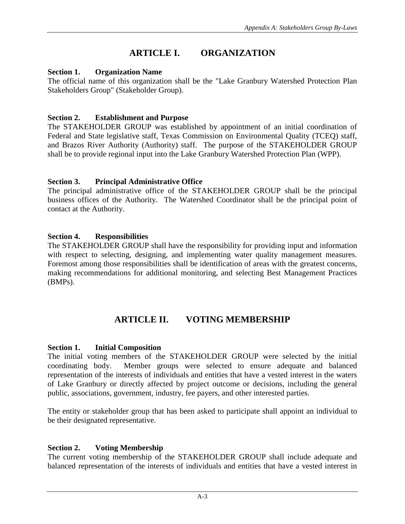# **ARTICLE I. ORGANIZATION**

#### **Section 1. Organization Name**

The official name of this organization shall be the "Lake Granbury Watershed Protection Plan Stakeholders Group" (Stakeholder Group).

#### **Section 2. Establishment and Purpose**

The STAKEHOLDER GROUP was established by appointment of an initial coordination of Federal and State legislative staff, Texas Commission on Environmental Quality (TCEQ) staff, and Brazos River Authority (Authority) staff. The purpose of the STAKEHOLDER GROUP shall be to provide regional input into the Lake Granbury Watershed Protection Plan (WPP).

#### **Section 3. Principal Administrative Office**

The principal administrative office of the STAKEHOLDER GROUP shall be the principal business offices of the Authority. The Watershed Coordinator shall be the principal point of contact at the Authority.

#### **Section 4. Responsibilities**

The STAKEHOLDER GROUP shall have the responsibility for providing input and information with respect to selecting, designing, and implementing water quality management measures. Foremost among those responsibilities shall be identification of areas with the greatest concerns, making recommendations for additional monitoring, and selecting Best Management Practices (BMPs).

# **ARTICLE II. VOTING MEMBERSHIP**

#### **Section 1. Initial Composition**

The initial voting members of the STAKEHOLDER GROUP were selected by the initial coordinating body. Member groups were selected to ensure adequate and balanced representation of the interests of individuals and entities that have a vested interest in the waters of Lake Granbury or directly affected by project outcome or decisions, including the general public, associations, government, industry, fee payers, and other interested parties.

The entity or stakeholder group that has been asked to participate shall appoint an individual to be their designated representative.

#### **Section 2. Voting Membership**

The current voting membership of the STAKEHOLDER GROUP shall include adequate and balanced representation of the interests of individuals and entities that have a vested interest in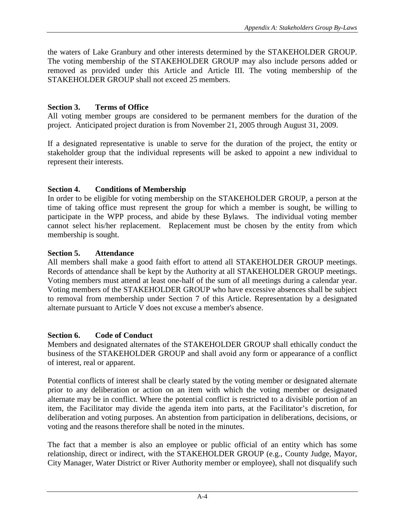the waters of Lake Granbury and other interests determined by the STAKEHOLDER GROUP. The voting membership of the STAKEHOLDER GROUP may also include persons added or removed as provided under this Article and Article III. The voting membership of the STAKEHOLDER GROUP shall not exceed 25 members.

#### **Section 3. Terms of Office**

All voting member groups are considered to be permanent members for the duration of the project. Anticipated project duration is from November 21, 2005 through August 31, 2009.

If a designated representative is unable to serve for the duration of the project, the entity or stakeholder group that the individual represents will be asked to appoint a new individual to represent their interests.

#### **Section 4. Conditions of Membership**

In order to be eligible for voting membership on the STAKEHOLDER GROUP, a person at the time of taking office must represent the group for which a member is sought, be willing to participate in the WPP process, and abide by these Bylaws. The individual voting member cannot select his/her replacement. Replacement must be chosen by the entity from which membership is sought.

#### **Section 5. Attendance**

All members shall make a good faith effort to attend all STAKEHOLDER GROUP meetings. Records of attendance shall be kept by the Authority at all STAKEHOLDER GROUP meetings. Voting members must attend at least one-half of the sum of all meetings during a calendar year. Voting members of the STAKEHOLDER GROUP who have excessive absences shall be subject to removal from membership under Section 7 of this Article. Representation by a designated alternate pursuant to Article V does not excuse a member's absence.

### **Section 6. Code of Conduct**

Members and designated alternates of the STAKEHOLDER GROUP shall ethically conduct the business of the STAKEHOLDER GROUP and shall avoid any form or appearance of a conflict of interest, real or apparent.

Potential conflicts of interest shall be clearly stated by the voting member or designated alternate prior to any deliberation or action on an item with which the voting member or designated alternate may be in conflict. Where the potential conflict is restricted to a divisible portion of an item, the Facilitator may divide the agenda item into parts, at the Facilitator's discretion, for deliberation and voting purposes. An abstention from participation in deliberations, decisions, or voting and the reasons therefore shall be noted in the minutes.

The fact that a member is also an employee or public official of an entity which has some relationship, direct or indirect, with the STAKEHOLDER GROUP (e.g., County Judge, Mayor, City Manager, Water District or River Authority member or employee), shall not disqualify such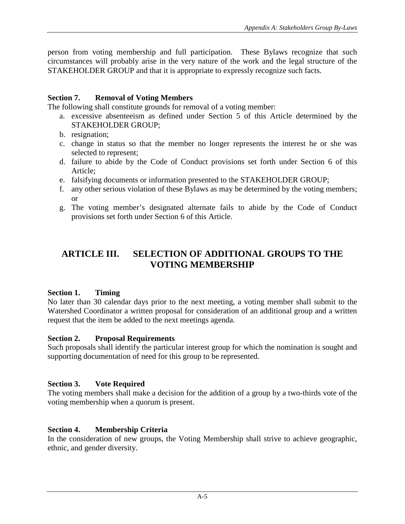person from voting membership and full participation. These Bylaws recognize that such circumstances will probably arise in the very nature of the work and the legal structure of the STAKEHOLDER GROUP and that it is appropriate to expressly recognize such facts.

#### **Section 7. Removal of Voting Members**

The following shall constitute grounds for removal of a voting member:

- a. excessive absenteeism as defined under Section 5 of this Article determined by the STAKEHOLDER GROUP;
- b. resignation;
- c. change in status so that the member no longer represents the interest he or she was selected to represent;
- d. failure to abide by the Code of Conduct provisions set forth under Section 6 of this Article;
- e. falsifying documents or information presented to the STAKEHOLDER GROUP;
- f. any other serious violation of these Bylaws as may be determined by the voting members; or
- g. The voting member's designated alternate fails to abide by the Code of Conduct provisions set forth under Section 6 of this Article.

# **ARTICLE III. SELECTION OF ADDITIONAL GROUPS TO THE VOTING MEMBERSHIP**

#### **Section 1. Timing**

No later than 30 calendar days prior to the next meeting, a voting member shall submit to the Watershed Coordinator a written proposal for consideration of an additional group and a written request that the item be added to the next meetings agenda.

#### **Section 2. Proposal Requirements**

Such proposals shall identify the particular interest group for which the nomination is sought and supporting documentation of need for this group to be represented.

#### **Section 3. Vote Required**

The voting members shall make a decision for the addition of a group by a two-thirds vote of the voting membership when a quorum is present.

#### **Section 4. Membership Criteria**

In the consideration of new groups, the Voting Membership shall strive to achieve geographic, ethnic, and gender diversity.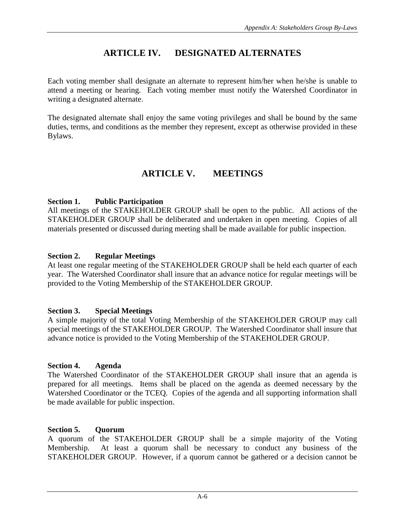# **ARTICLE IV. DESIGNATED ALTERNATES**

Each voting member shall designate an alternate to represent him/her when he/she is unable to attend a meeting or hearing. Each voting member must notify the Watershed Coordinator in writing a designated alternate.

The designated alternate shall enjoy the same voting privileges and shall be bound by the same duties, terms, and conditions as the member they represent, except as otherwise provided in these Bylaws.

### **ARTICLE V. MEETINGS**

#### **Section 1. Public Participation**

All meetings of the STAKEHOLDER GROUP shall be open to the public. All actions of the STAKEHOLDER GROUP shall be deliberated and undertaken in open meeting. Copies of all materials presented or discussed during meeting shall be made available for public inspection.

#### **Section 2. Regular Meetings**

At least one regular meeting of the STAKEHOLDER GROUP shall be held each quarter of each year. The Watershed Coordinator shall insure that an advance notice for regular meetings will be provided to the Voting Membership of the STAKEHOLDER GROUP.

#### **Section 3. Special Meetings**

A simple majority of the total Voting Membership of the STAKEHOLDER GROUP may call special meetings of the STAKEHOLDER GROUP. The Watershed Coordinator shall insure that advance notice is provided to the Voting Membership of the STAKEHOLDER GROUP.

#### **Section 4. Agenda**

The Watershed Coordinator of the STAKEHOLDER GROUP shall insure that an agenda is prepared for all meetings. Items shall be placed on the agenda as deemed necessary by the Watershed Coordinator or the TCEQ. Copies of the agenda and all supporting information shall be made available for public inspection.

#### **Section 5. Quorum**

A quorum of the STAKEHOLDER GROUP shall be a simple majority of the Voting Membership. At least a quorum shall be necessary to conduct any business of the STAKEHOLDER GROUP. However, if a quorum cannot be gathered or a decision cannot be